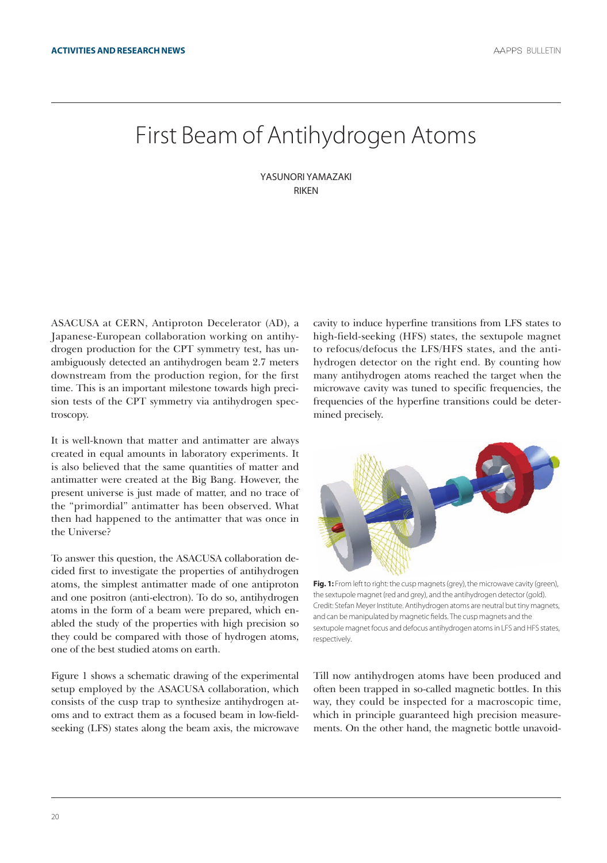## First Beam of Antihydrogen Atoms

YASunori YAmAZAKi **RIKEN** 

ASACUSA at CERN, Antiproton Decelerator (AD), a Japanese-European collaboration working on antihydrogen production for the CPT symmetry test, has unambiguously detected an antihydrogen beam 2.7 meters downstream from the production region, for the first time. This is an important milestone towards high precision tests of the CPT symmetry via antihydrogen spectroscopy.

It is well-known that matter and antimatter are always created in equal amounts in laboratory experiments. It is also believed that the same quantities of matter and antimatter were created at the Big Bang. However, the present universe is just made of matter, and no trace of the "primordial" antimatter has been observed. What then had happened to the antimatter that was once in the Universe?

To answer this question, the ASACUSA collaboration decided first to investigate the properties of antihydrogen atoms, the simplest antimatter made of one antiproton and one positron (anti-electron). To do so, antihydrogen atoms in the form of a beam were prepared, which enabled the study of the properties with high precision so they could be compared with those of hydrogen atoms, one of the best studied atoms on earth.

Figure 1 shows a schematic drawing of the experimental setup employed by the ASACUSA collaboration, which consists of the cusp trap to synthesize antihydrogen atoms and to extract them as a focused beam in low-fieldseeking (LFS) states along the beam axis, the microwave cavity to induce hyperfine transitions from LFS states to high-field-seeking (HFS) states, the sextupole magnet to refocus/defocus the LFS/HFS states, and the antihydrogen detector on the right end. By counting how many antihydrogen atoms reached the target when the microwave cavity was tuned to specific frequencies, the frequencies of the hyperfine transitions could be determined precisely.



**fig. 1:** From left to right: the cusp magnets (grey), the microwave cavity (green), the sextupole magnet (red and grey), and the antihydrogen detector (gold). Credit: Stefan Meyer Institute. Antihydrogen atoms are neutral but tiny magnets, and can be manipulated by magnetic fields. The cusp magnets and the sextupole magnet focus and defocus antihydrogen atoms in LFS and HFS states, respectively.

Till now antihydrogen atoms have been produced and often been trapped in so-called magnetic bottles. In this way, they could be inspected for a macroscopic time, which in principle guaranteed high precision measurements. On the other hand, the magnetic bottle unavoid